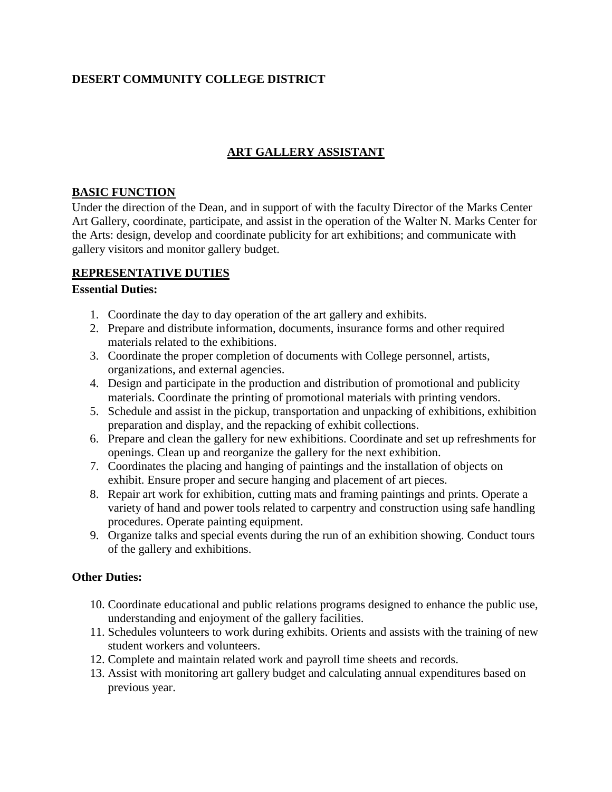## **DESERT COMMUNITY COLLEGE DISTRICT**

# **ART GALLERY ASSISTANT**

#### **BASIC FUNCTION**

Under the direction of the Dean, and in support of with the faculty Director of the Marks Center Art Gallery, coordinate, participate, and assist in the operation of the Walter N. Marks Center for the Arts: design, develop and coordinate publicity for art exhibitions; and communicate with gallery visitors and monitor gallery budget.

### **REPRESENTATIVE DUTIES**

#### **Essential Duties:**

- 1. Coordinate the day to day operation of the art gallery and exhibits.
- 2. Prepare and distribute information, documents, insurance forms and other required materials related to the exhibitions.
- 3. Coordinate the proper completion of documents with College personnel, artists, organizations, and external agencies.
- 4. Design and participate in the production and distribution of promotional and publicity materials. Coordinate the printing of promotional materials with printing vendors.
- 5. Schedule and assist in the pickup, transportation and unpacking of exhibitions, exhibition preparation and display, and the repacking of exhibit collections.
- 6. Prepare and clean the gallery for new exhibitions. Coordinate and set up refreshments for openings. Clean up and reorganize the gallery for the next exhibition.
- 7. Coordinates the placing and hanging of paintings and the installation of objects on exhibit. Ensure proper and secure hanging and placement of art pieces.
- 8. Repair art work for exhibition, cutting mats and framing paintings and prints. Operate a variety of hand and power tools related to carpentry and construction using safe handling procedures. Operate painting equipment.
- 9. Organize talks and special events during the run of an exhibition showing. Conduct tours of the gallery and exhibitions.

### **Other Duties:**

- 10. Coordinate educational and public relations programs designed to enhance the public use, understanding and enjoyment of the gallery facilities.
- 11. Schedules volunteers to work during exhibits. Orients and assists with the training of new student workers and volunteers.
- 12. Complete and maintain related work and payroll time sheets and records.
- 13. Assist with monitoring art gallery budget and calculating annual expenditures based on previous year.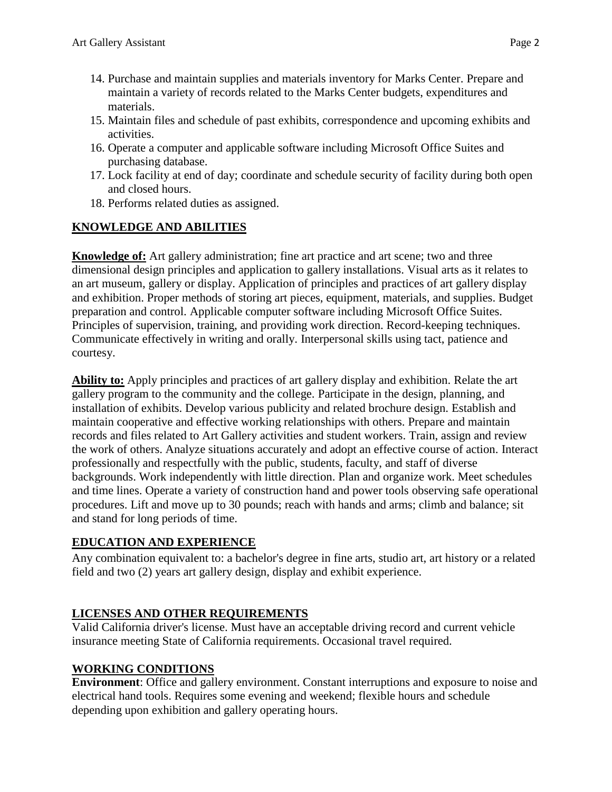- 14. Purchase and maintain supplies and materials inventory for Marks Center. Prepare and maintain a variety of records related to the Marks Center budgets, expenditures and materials.
- 15. Maintain files and schedule of past exhibits, correspondence and upcoming exhibits and activities.
- 16. Operate a computer and applicable software including Microsoft Office Suites and purchasing database.
- 17. Lock facility at end of day; coordinate and schedule security of facility during both open and closed hours.
- 18. Performs related duties as assigned.

## **KNOWLEDGE AND ABILITIES**

**Knowledge of:** Art gallery administration; fine art practice and art scene; two and three dimensional design principles and application to gallery installations. Visual arts as it relates to an art museum, gallery or display. Application of principles and practices of art gallery display and exhibition. Proper methods of storing art pieces, equipment, materials, and supplies. Budget preparation and control. Applicable computer software including Microsoft Office Suites. Principles of supervision, training, and providing work direction. Record-keeping techniques. Communicate effectively in writing and orally. Interpersonal skills using tact, patience and courtesy.

**Ability to:** Apply principles and practices of art gallery display and exhibition. Relate the art gallery program to the community and the college. Participate in the design, planning, and installation of exhibits. Develop various publicity and related brochure design. Establish and maintain cooperative and effective working relationships with others. Prepare and maintain records and files related to Art Gallery activities and student workers. Train, assign and review the work of others. Analyze situations accurately and adopt an effective course of action. Interact professionally and respectfully with the public, students, faculty, and staff of diverse backgrounds. Work independently with little direction. Plan and organize work. Meet schedules and time lines. Operate a variety of construction hand and power tools observing safe operational procedures. Lift and move up to 30 pounds; reach with hands and arms; climb and balance; sit and stand for long periods of time.

## **EDUCATION AND EXPERIENCE**

Any combination equivalent to: a bachelor's degree in fine arts, studio art, art history or a related field and two (2) years art gallery design, display and exhibit experience.

## **LICENSES AND OTHER REQUIREMENTS**

Valid California driver's license. Must have an acceptable driving record and current vehicle insurance meeting State of California requirements. Occasional travel required.

## **WORKING CONDITIONS**

**Environment**: Office and gallery environment. Constant interruptions and exposure to noise and electrical hand tools. Requires some evening and weekend; flexible hours and schedule depending upon exhibition and gallery operating hours.